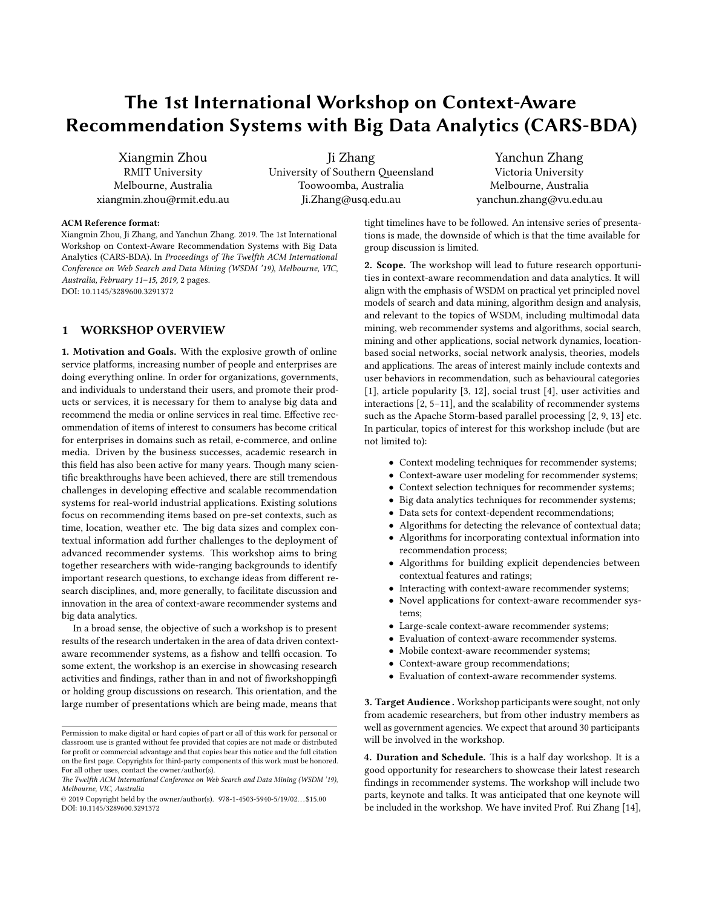# The 1st International Workshop on Context-Aware Recommendation Systems with Big Data Analytics (CARS-BDA)

Xiangmin Zhou RMIT University Melbourne, Australia xiangmin.zhou@rmit.edu.au

Ji Zhang University of Southern Queensland Toowoomba, Australia Ji.Zhang@usq.edu.au

Yanchun Zhang Victoria University Melbourne, Australia yanchun.zhang@vu.edu.au

#### ACM Reference format:

Xiangmin Zhou, Ji Zhang, and Yanchun Zhang. 2019. The 1st International Workshop on Context-Aware Recommendation Systems with Big Data Analytics (CARS-BDA). In Proceedings of The Twelfth ACM International Conference on Web Search and Data Mining (WSDM '19), Melbourne, VIC, Australia, February 11–15, 2019, [2](#page-1-0) pages. DOI: 10.1145/3289600.3291372

## 1 WORKSHOP OVERVIEW

1. Motivation and Goals. With the explosive growth of online service platforms, increasing number of people and enterprises are doing everything online. In order for organizations, governments, and individuals to understand their users, and promote their products or services, it is necessary for them to analyse big data and recommend the media or online services in real time. Effective recommendation of items of interest to consumers has become critical for enterprises in domains such as retail, e-commerce, and online media. Driven by the business successes, academic research in this field has also been active for many years. Though many scientific breakthroughs have been achieved, there are still tremendous challenges in developing effective and scalable recommendation systems for real-world industrial applications. Existing solutions focus on recommending items based on pre-set contexts, such as time, location, weather etc. The big data sizes and complex contextual information add further challenges to the deployment of advanced recommender systems. This workshop aims to bring together researchers with wide-ranging backgrounds to identify important research questions, to exchange ideas from different research disciplines, and, more generally, to facilitate discussion and innovation in the area of context-aware recommender systems and big data analytics.

In a broad sense, the objective of such a workshop is to present results of the research undertaken in the area of data driven contextaware recommender systems, as a fishow and tellfi occasion. To some extent, the workshop is an exercise in showcasing research activities and findings, rather than in and not of fiworkshoppingfi or holding group discussions on research. This orientation, and the large number of presentations which are being made, means that

tight timelines have to be followed. An intensive series of presentations is made, the downside of which is that the time available for group discussion is limited.

2. Scope. The workshop will lead to future research opportunities in context-aware recommendation and data analytics. It will align with the emphasis of WSDM on practical yet principled novel models of search and data mining, algorithm design and analysis, and relevant to the topics of WSDM, including multimodal data mining, web recommender systems and algorithms, social search, mining and other applications, social network dynamics, locationbased social networks, social network analysis, theories, models and applications. The areas of interest mainly include contexts and user behaviors in recommendation, such as behavioural categories [\[1\]](#page-1-1), article popularity [\[3,](#page-1-2) [12\]](#page-1-3), social trust [\[4\]](#page-1-4), user activities and interactions [\[2,](#page-1-5) [5–](#page-1-6)[11\]](#page-1-7), and the scalability of recommender systems such as the Apache Storm-based parallel processing [\[2,](#page-1-5) [9,](#page-1-8) [13\]](#page-1-9) etc. In particular, topics of interest for this workshop include (but are not limited to):

- Context modeling techniques for recommender systems;
- Context-aware user modeling for recommender systems;
- Context selection techniques for recommender systems;
- Big data analytics techniques for recommender systems;
- Data sets for context-dependent recommendations;
- Algorithms for detecting the relevance of contextual data;
- Algorithms for incorporating contextual information into recommendation process;
- Algorithms for building explicit dependencies between contextual features and ratings;
- Interacting with context-aware recommender systems;
- Novel applications for context-aware recommender systems;
- Large-scale context-aware recommender systems;
- Evaluation of context-aware recommender systems.
- Mobile context-aware recommender systems;
- Context-aware group recommendations;
- Evaluation of context-aware recommender systems.

3. Target Audience . Workshop participants were sought, not only from academic researchers, but from other industry members as well as government agencies. We expect that around 30 participants will be involved in the workshop.

4. Duration and Schedule. This is a half day workshop. It is a good opportunity for researchers to showcase their latest research findings in recommender systems. The workshop will include two parts, keynote and talks. It was anticipated that one keynote will be included in the workshop. We have invited Prof. Rui Zhang [\[14\]](#page-1-10),

Permission to make digital or hard copies of part or all of this work for personal or classroom use is granted without fee provided that copies are not made or distributed for profit or commercial advantage and that copies bear this notice and the full citation on the first page. Copyrights for third-party components of this work must be honored. For all other uses, contact the owner/author(s).

The Twelfth ACM International Conference on Web Search and Data Mining (WSDM '19), Melbourne, VIC, Australia

<sup>©</sup> 2019 Copyright held by the owner/author(s). 978-1-4503-5940-5/19/02. . . \$15.00 DOI: 10.1145/3289600.3291372